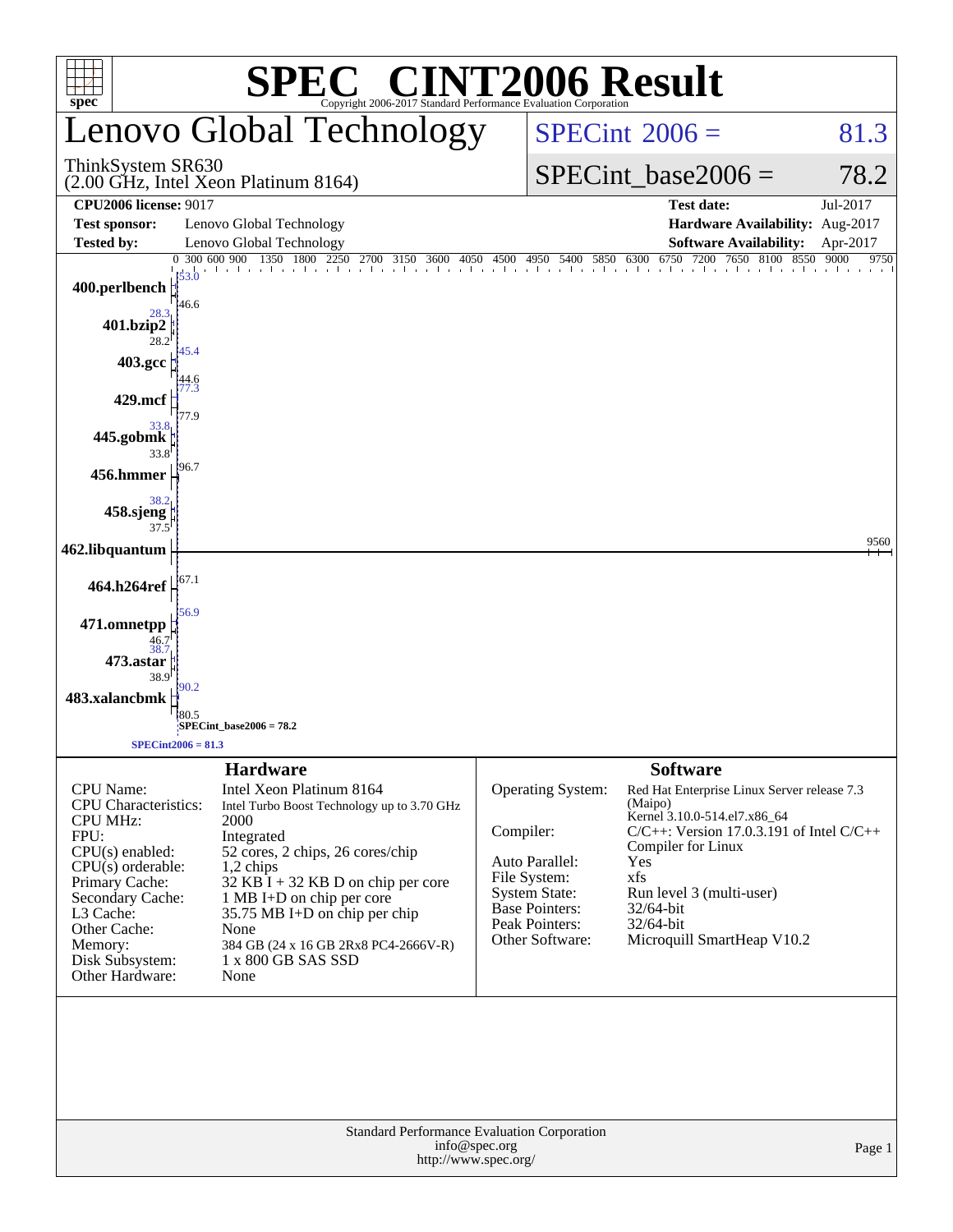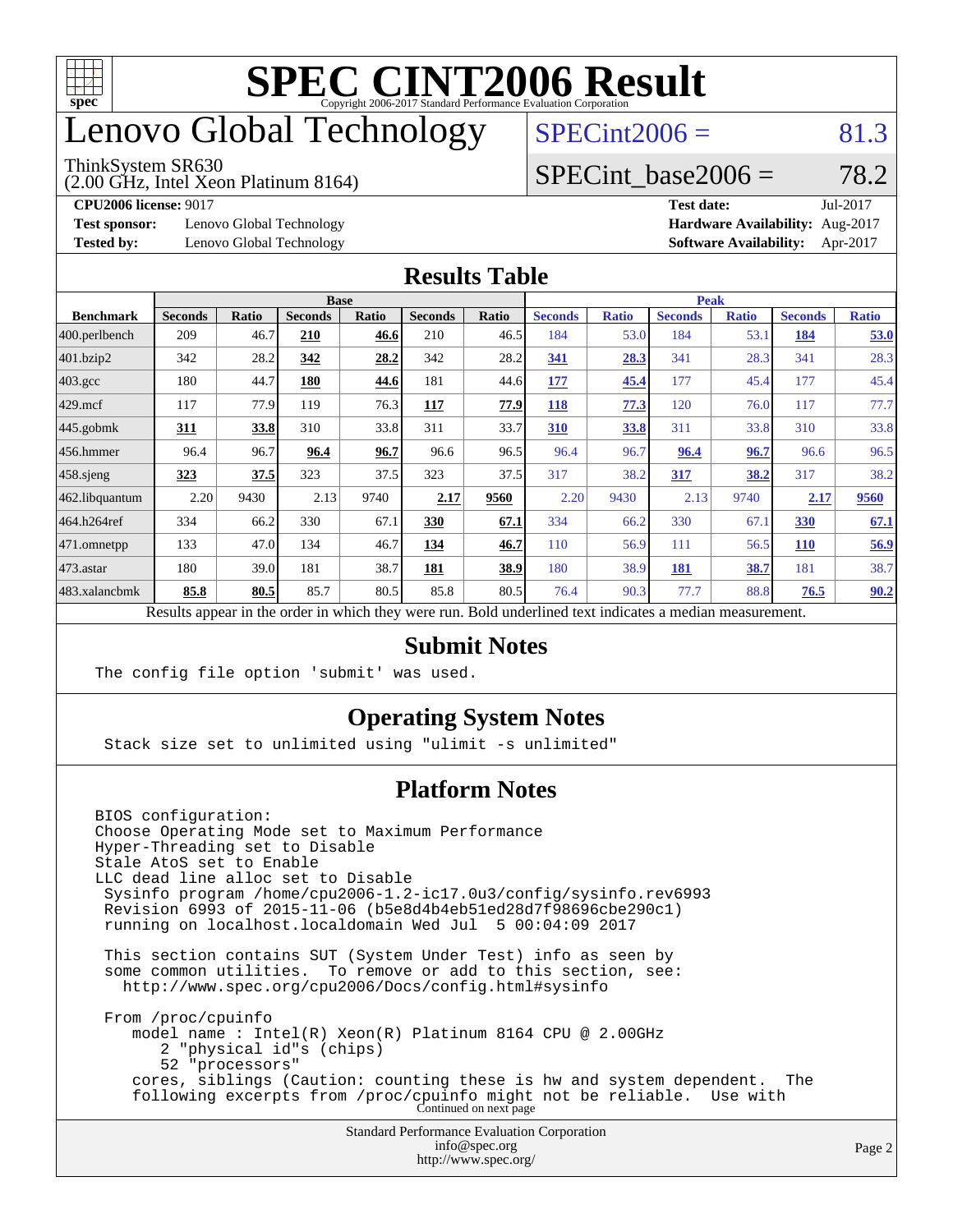

# enovo Global Technology

#### ThinkSystem SR630

(2.00 GHz, Intel Xeon Platinum 8164)

 $SPECint2006 = 81.3$  $SPECint2006 = 81.3$ 

### SPECint base2006 =  $78.2$

**[Test sponsor:](http://www.spec.org/auto/cpu2006/Docs/result-fields.html#Testsponsor)** Lenovo Global Technology **[Hardware Availability:](http://www.spec.org/auto/cpu2006/Docs/result-fields.html#HardwareAvailability)** Aug-2017

**[CPU2006 license:](http://www.spec.org/auto/cpu2006/Docs/result-fields.html#CPU2006license)** 9017 **[Test date:](http://www.spec.org/auto/cpu2006/Docs/result-fields.html#Testdate)** Jul-2017 **[Tested by:](http://www.spec.org/auto/cpu2006/Docs/result-fields.html#Testedby)** Lenovo Global Technology **[Software Availability:](http://www.spec.org/auto/cpu2006/Docs/result-fields.html#SoftwareAvailability)** Apr-2017

#### **[Results Table](http://www.spec.org/auto/cpu2006/Docs/result-fields.html#ResultsTable)**

|                                                                                                          | <b>Base</b>    |              |                |              |                | <b>Peak</b>  |                |              |                |              |                |              |
|----------------------------------------------------------------------------------------------------------|----------------|--------------|----------------|--------------|----------------|--------------|----------------|--------------|----------------|--------------|----------------|--------------|
| <b>Benchmark</b>                                                                                         | <b>Seconds</b> | <b>Ratio</b> | <b>Seconds</b> | <b>Ratio</b> | <b>Seconds</b> | <b>Ratio</b> | <b>Seconds</b> | <b>Ratio</b> | <b>Seconds</b> | <b>Ratio</b> | <b>Seconds</b> | <b>Ratio</b> |
| $ 400$ .perlbench                                                                                        | 209            | 46.7         | 210            | 46.6         | 210            | 46.5         | 184            | 53.0         | 184            | 53.1         | 184            | 53.0         |
| $401$ .bzip2                                                                                             | 342            | 28.2         | 342            | 28.2         | 342            | 28.2         | 341            | 28.3         | 341            | 28.3         | 341            | 28.3         |
| $403.\text{gcc}$                                                                                         | 180            | 44.7         | 180            | 44.6         | 181            | 44.6         | 177            | 45.4         | 177            | 45.4         | 177            | 45.4         |
| $429$ mcf                                                                                                | 117            | 77.9         | 119            | 76.3         | 117            | 77.9         | 118            | 77.3         | 120            | 76.0         | 117            | 77.7         |
| $445$ .gobmk                                                                                             | 311            | 33.8         | 310            | 33.8         | 311            | 33.7         | 310            | 33.8         | 311            | 33.8         | 310            | 33.8         |
| 456.hmmer                                                                                                | 96.4           | 96.7         | 96.4           | 96.7         | 96.6           | 96.5         | 96.4           | 96.7         | 96.4           | 96.7         | 96.6           | 96.5         |
| $458$ .sjeng                                                                                             | 323            | 37.5         | 323            | 37.5         | 323            | 37.5         | 317            | 38.2         | 317            | 38.2         | 317            | 38.2         |
| 462.libquantum                                                                                           | 2.20           | 9430         | 2.13           | 9740         | 2.17           | 9560         | 2.20           | 9430         | 2.13           | 9740         | 2.17           | 9560         |
| 464.h264ref                                                                                              | 334            | 66.2         | 330            | 67.1         | 330            | 67.1         | 334            | 66.2         | 330            | 67.1         | 330            | 67.1         |
| $ 471$ .omnetpp                                                                                          | 133            | 47.0         | 134            | 46.7         | 134            | 46.7         | 110            | 56.9         | 111            | 56.5         | <b>110</b>     | 56.9         |
| $473$ . astar                                                                                            | 180            | 39.0         | 181            | 38.7         | 181            | 38.9         | 180            | 38.9         | 181            | 38.7         | 181            | 38.7         |
| 483.xalancbmk                                                                                            | 85.8           | 80.5         | 85.7           | 80.5         | 85.8           | 80.5         | 76.4           | 90.3         | 77.7           | 88.8         | 76.5           | 90.2         |
| Results appear in the order in which they were run. Bold underlined text indicates a median measurement. |                |              |                |              |                |              |                |              |                |              |                |              |

#### **[Submit Notes](http://www.spec.org/auto/cpu2006/Docs/result-fields.html#SubmitNotes)**

The config file option 'submit' was used.

### **[Operating System Notes](http://www.spec.org/auto/cpu2006/Docs/result-fields.html#OperatingSystemNotes)**

Stack size set to unlimited using "ulimit -s unlimited"

### **[Platform Notes](http://www.spec.org/auto/cpu2006/Docs/result-fields.html#PlatformNotes)**

Standard Performance Evaluation Corporation [info@spec.org](mailto:info@spec.org) BIOS configuration: Choose Operating Mode set to Maximum Performance Hyper-Threading set to Disable Stale AtoS set to Enable LLC dead line alloc set to Disable Sysinfo program /home/cpu2006-1.2-ic17.0u3/config/sysinfo.rev6993 Revision 6993 of 2015-11-06 (b5e8d4b4eb51ed28d7f98696cbe290c1) running on localhost.localdomain Wed Jul 5 00:04:09 2017 This section contains SUT (System Under Test) info as seen by some common utilities. To remove or add to this section, see: <http://www.spec.org/cpu2006/Docs/config.html#sysinfo> From /proc/cpuinfo model name : Intel(R) Xeon(R) Platinum 8164 CPU @ 2.00GHz 2 "physical id"s (chips) 52 "processors" cores, siblings (Caution: counting these is hw and system dependent. The following excerpts from /proc/cpuinfo might not be reliable. Use with Continued on next page

<http://www.spec.org/>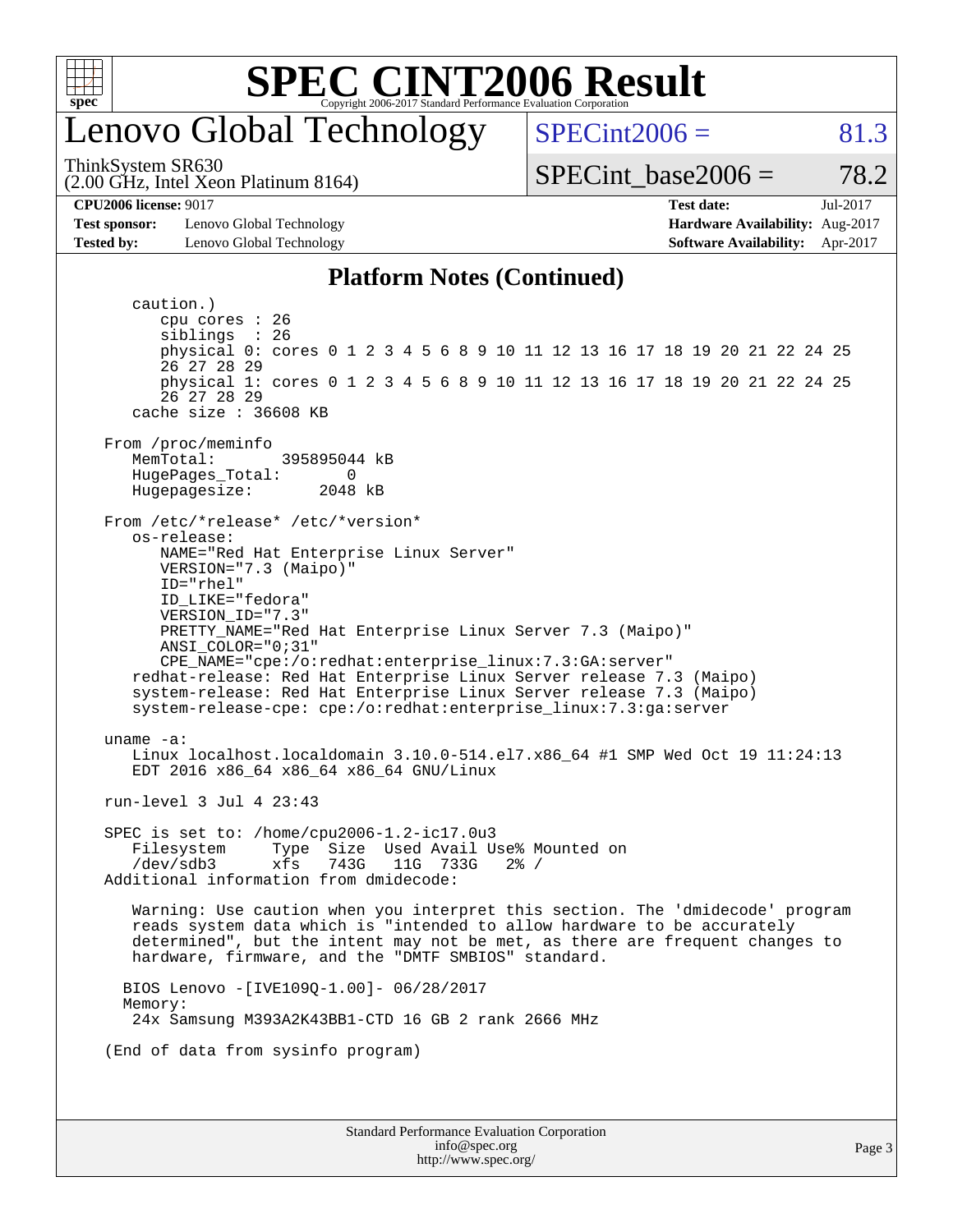

## enovo Global Technology

ThinkSystem SR630

 $SPECint2006 = 81.3$  $SPECint2006 = 81.3$ 

SPECint base2006 =  $78.2$ 

**[Test sponsor:](http://www.spec.org/auto/cpu2006/Docs/result-fields.html#Testsponsor)** Lenovo Global Technology **[Hardware Availability:](http://www.spec.org/auto/cpu2006/Docs/result-fields.html#HardwareAvailability)** Aug-2017 **[Tested by:](http://www.spec.org/auto/cpu2006/Docs/result-fields.html#Testedby)** Lenovo Global Technology **[Software Availability:](http://www.spec.org/auto/cpu2006/Docs/result-fields.html#SoftwareAvailability)** Apr-2017

(2.00 GHz, Intel Xeon Platinum 8164)

**[CPU2006 license:](http://www.spec.org/auto/cpu2006/Docs/result-fields.html#CPU2006license)** 9017 **[Test date:](http://www.spec.org/auto/cpu2006/Docs/result-fields.html#Testdate)** Jul-2017

#### **[Platform Notes \(Continued\)](http://www.spec.org/auto/cpu2006/Docs/result-fields.html#PlatformNotes)**

Standard Performance Evaluation Corporation [info@spec.org](mailto:info@spec.org) <http://www.spec.org/> Page 3 caution.) cpu cores : 26 siblings : 26 physical 0: cores 0 1 2 3 4 5 6 8 9 10 11 12 13 16 17 18 19 20 21 22 24 25 26 27 28 29 physical 1: cores 0 1 2 3 4 5 6 8 9 10 11 12 13 16 17 18 19 20 21 22 24 25 26 27 28 29 cache size : 36608 KB From /proc/meminfo<br>MemTotal: 395895044 kB HugePages\_Total: 0 Hugepagesize: 2048 kB From /etc/\*release\* /etc/\*version\* os-release: NAME="Red Hat Enterprise Linux Server" VERSION="7.3 (Maipo)" ID="rhel" ID\_LIKE="fedora" VERSION\_ID="7.3" PRETTY\_NAME="Red Hat Enterprise Linux Server 7.3 (Maipo)" ANSI\_COLOR="0;31" CPE\_NAME="cpe:/o:redhat:enterprise\_linux:7.3:GA:server" redhat-release: Red Hat Enterprise Linux Server release 7.3 (Maipo) system-release: Red Hat Enterprise Linux Server release 7.3 (Maipo) system-release-cpe: cpe:/o:redhat:enterprise\_linux:7.3:ga:server uname -a: Linux localhost.localdomain 3.10.0-514.el7.x86\_64 #1 SMP Wed Oct 19 11:24:13 EDT 2016 x86\_64 x86\_64 x86\_64 GNU/Linux run-level 3 Jul 4 23:43 SPEC is set to: /home/cpu2006-1.2-ic17.0u3 Filesystem Type Size Used Avail Use% Mounted on<br>/dev/sdb3 xfs 743G 11G 733G 2% / /dev/sdb3 xfs 743G 11G 733G 2% / Additional information from dmidecode: Warning: Use caution when you interpret this section. The 'dmidecode' program reads system data which is "intended to allow hardware to be accurately determined", but the intent may not be met, as there are frequent changes to hardware, firmware, and the "DMTF SMBIOS" standard. BIOS Lenovo -[IVE109Q-1.00]- 06/28/2017 Memory: 24x Samsung M393A2K43BB1-CTD 16 GB 2 rank 2666 MHz (End of data from sysinfo program)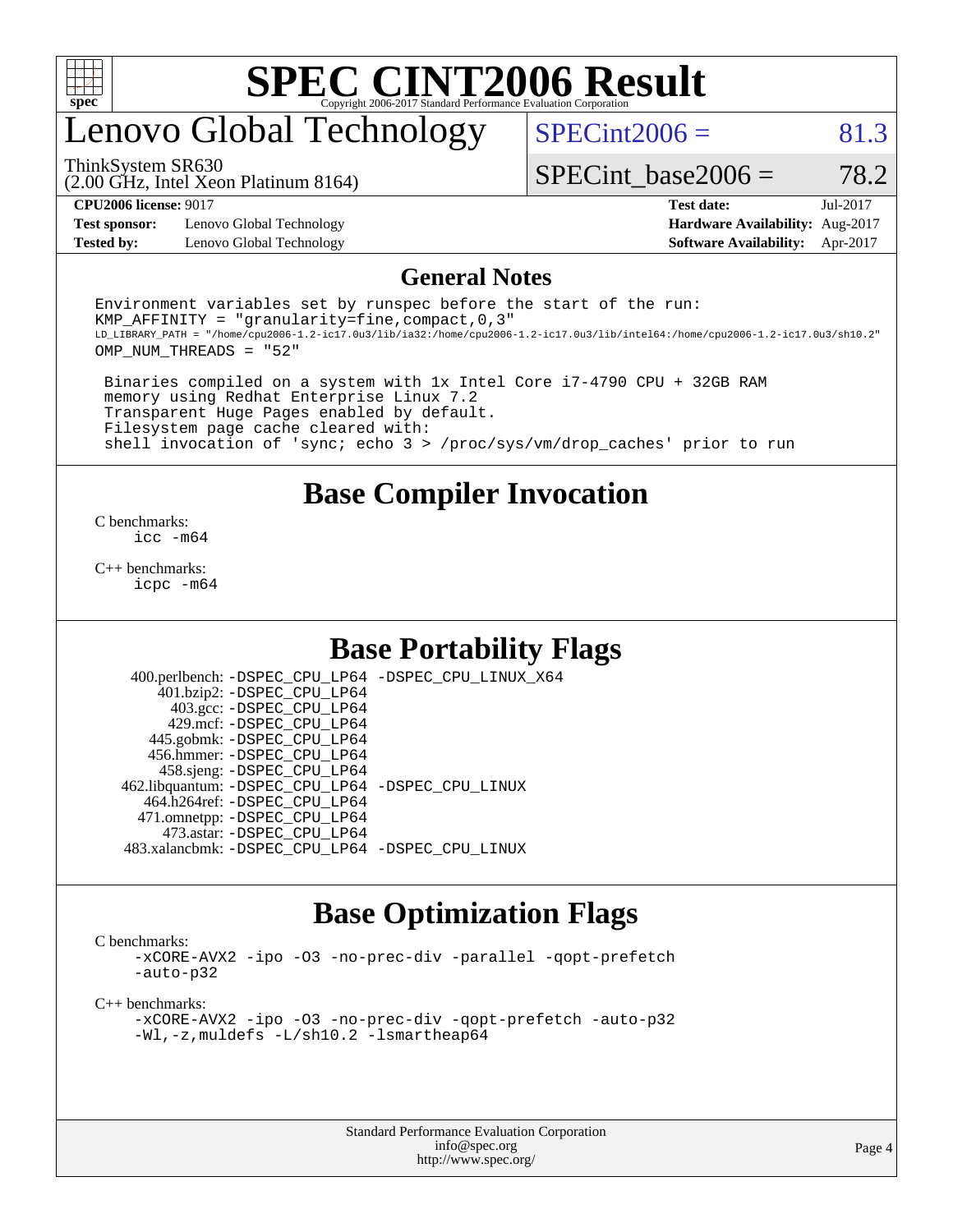

# enovo Global Technology

 $SPECint2006 = 81.3$  $SPECint2006 = 81.3$ 

(2.00 GHz, Intel Xeon Platinum 8164) ThinkSystem SR630

SPECint base2006 =  $78.2$ 

**[Test sponsor:](http://www.spec.org/auto/cpu2006/Docs/result-fields.html#Testsponsor)** Lenovo Global Technology **[Hardware Availability:](http://www.spec.org/auto/cpu2006/Docs/result-fields.html#HardwareAvailability)** Aug-2017 **[Tested by:](http://www.spec.org/auto/cpu2006/Docs/result-fields.html#Testedby)** Lenovo Global Technology **[Software Availability:](http://www.spec.org/auto/cpu2006/Docs/result-fields.html#SoftwareAvailability)** Apr-2017

**[CPU2006 license:](http://www.spec.org/auto/cpu2006/Docs/result-fields.html#CPU2006license)** 9017 **[Test date:](http://www.spec.org/auto/cpu2006/Docs/result-fields.html#Testdate)** Jul-2017

#### **[General Notes](http://www.spec.org/auto/cpu2006/Docs/result-fields.html#GeneralNotes)**

Environment variables set by runspec before the start of the run: KMP AFFINITY = "granularity=fine, compact,  $0,3$ " LD\_LIBRARY\_PATH = "/home/cpu2006-1.2-ic17.0u3/lib/ia32:/home/cpu2006-1.2-ic17.0u3/lib/intel64:/home/cpu2006-1.2-ic17.0u3/sh10.2" OMP\_NUM\_THREADS = "52"

 Binaries compiled on a system with 1x Intel Core i7-4790 CPU + 32GB RAM memory using Redhat Enterprise Linux 7.2 Transparent Huge Pages enabled by default. Filesystem page cache cleared with: shell invocation of 'sync; echo 3 > /proc/sys/vm/drop\_caches' prior to run

### **[Base Compiler Invocation](http://www.spec.org/auto/cpu2006/Docs/result-fields.html#BaseCompilerInvocation)**

[C benchmarks](http://www.spec.org/auto/cpu2006/Docs/result-fields.html#Cbenchmarks): [icc -m64](http://www.spec.org/cpu2006/results/res2017q4/cpu2006-20170918-49575.flags.html#user_CCbase_intel_icc_64bit_bda6cc9af1fdbb0edc3795bac97ada53)

[C++ benchmarks:](http://www.spec.org/auto/cpu2006/Docs/result-fields.html#CXXbenchmarks) [icpc -m64](http://www.spec.org/cpu2006/results/res2017q4/cpu2006-20170918-49575.flags.html#user_CXXbase_intel_icpc_64bit_fc66a5337ce925472a5c54ad6a0de310)

### **[Base Portability Flags](http://www.spec.org/auto/cpu2006/Docs/result-fields.html#BasePortabilityFlags)**

 400.perlbench: [-DSPEC\\_CPU\\_LP64](http://www.spec.org/cpu2006/results/res2017q4/cpu2006-20170918-49575.flags.html#b400.perlbench_basePORTABILITY_DSPEC_CPU_LP64) [-DSPEC\\_CPU\\_LINUX\\_X64](http://www.spec.org/cpu2006/results/res2017q4/cpu2006-20170918-49575.flags.html#b400.perlbench_baseCPORTABILITY_DSPEC_CPU_LINUX_X64) 401.bzip2: [-DSPEC\\_CPU\\_LP64](http://www.spec.org/cpu2006/results/res2017q4/cpu2006-20170918-49575.flags.html#suite_basePORTABILITY401_bzip2_DSPEC_CPU_LP64) 403.gcc: [-DSPEC\\_CPU\\_LP64](http://www.spec.org/cpu2006/results/res2017q4/cpu2006-20170918-49575.flags.html#suite_basePORTABILITY403_gcc_DSPEC_CPU_LP64) 429.mcf: [-DSPEC\\_CPU\\_LP64](http://www.spec.org/cpu2006/results/res2017q4/cpu2006-20170918-49575.flags.html#suite_basePORTABILITY429_mcf_DSPEC_CPU_LP64) 445.gobmk: [-DSPEC\\_CPU\\_LP64](http://www.spec.org/cpu2006/results/res2017q4/cpu2006-20170918-49575.flags.html#suite_basePORTABILITY445_gobmk_DSPEC_CPU_LP64) 456.hmmer: [-DSPEC\\_CPU\\_LP64](http://www.spec.org/cpu2006/results/res2017q4/cpu2006-20170918-49575.flags.html#suite_basePORTABILITY456_hmmer_DSPEC_CPU_LP64) 458.sjeng: [-DSPEC\\_CPU\\_LP64](http://www.spec.org/cpu2006/results/res2017q4/cpu2006-20170918-49575.flags.html#suite_basePORTABILITY458_sjeng_DSPEC_CPU_LP64) 462.libquantum: [-DSPEC\\_CPU\\_LP64](http://www.spec.org/cpu2006/results/res2017q4/cpu2006-20170918-49575.flags.html#suite_basePORTABILITY462_libquantum_DSPEC_CPU_LP64) [-DSPEC\\_CPU\\_LINUX](http://www.spec.org/cpu2006/results/res2017q4/cpu2006-20170918-49575.flags.html#b462.libquantum_baseCPORTABILITY_DSPEC_CPU_LINUX) 464.h264ref: [-DSPEC\\_CPU\\_LP64](http://www.spec.org/cpu2006/results/res2017q4/cpu2006-20170918-49575.flags.html#suite_basePORTABILITY464_h264ref_DSPEC_CPU_LP64) 471.omnetpp: [-DSPEC\\_CPU\\_LP64](http://www.spec.org/cpu2006/results/res2017q4/cpu2006-20170918-49575.flags.html#suite_basePORTABILITY471_omnetpp_DSPEC_CPU_LP64) 473.astar: [-DSPEC\\_CPU\\_LP64](http://www.spec.org/cpu2006/results/res2017q4/cpu2006-20170918-49575.flags.html#suite_basePORTABILITY473_astar_DSPEC_CPU_LP64) 483.xalancbmk: [-DSPEC\\_CPU\\_LP64](http://www.spec.org/cpu2006/results/res2017q4/cpu2006-20170918-49575.flags.html#suite_basePORTABILITY483_xalancbmk_DSPEC_CPU_LP64) [-DSPEC\\_CPU\\_LINUX](http://www.spec.org/cpu2006/results/res2017q4/cpu2006-20170918-49575.flags.html#b483.xalancbmk_baseCXXPORTABILITY_DSPEC_CPU_LINUX)

### **[Base Optimization Flags](http://www.spec.org/auto/cpu2006/Docs/result-fields.html#BaseOptimizationFlags)**

[C benchmarks](http://www.spec.org/auto/cpu2006/Docs/result-fields.html#Cbenchmarks):

[-xCORE-AVX2](http://www.spec.org/cpu2006/results/res2017q4/cpu2006-20170918-49575.flags.html#user_CCbase_f-xCORE-AVX2) [-ipo](http://www.spec.org/cpu2006/results/res2017q4/cpu2006-20170918-49575.flags.html#user_CCbase_f-ipo) [-O3](http://www.spec.org/cpu2006/results/res2017q4/cpu2006-20170918-49575.flags.html#user_CCbase_f-O3) [-no-prec-div](http://www.spec.org/cpu2006/results/res2017q4/cpu2006-20170918-49575.flags.html#user_CCbase_f-no-prec-div) [-parallel](http://www.spec.org/cpu2006/results/res2017q4/cpu2006-20170918-49575.flags.html#user_CCbase_f-parallel) [-qopt-prefetch](http://www.spec.org/cpu2006/results/res2017q4/cpu2006-20170918-49575.flags.html#user_CCbase_f-qopt-prefetch) [-auto-p32](http://www.spec.org/cpu2006/results/res2017q4/cpu2006-20170918-49575.flags.html#user_CCbase_f-auto-p32)

[C++ benchmarks:](http://www.spec.org/auto/cpu2006/Docs/result-fields.html#CXXbenchmarks)

[-xCORE-AVX2](http://www.spec.org/cpu2006/results/res2017q4/cpu2006-20170918-49575.flags.html#user_CXXbase_f-xCORE-AVX2) [-ipo](http://www.spec.org/cpu2006/results/res2017q4/cpu2006-20170918-49575.flags.html#user_CXXbase_f-ipo) [-O3](http://www.spec.org/cpu2006/results/res2017q4/cpu2006-20170918-49575.flags.html#user_CXXbase_f-O3) [-no-prec-div](http://www.spec.org/cpu2006/results/res2017q4/cpu2006-20170918-49575.flags.html#user_CXXbase_f-no-prec-div) [-qopt-prefetch](http://www.spec.org/cpu2006/results/res2017q4/cpu2006-20170918-49575.flags.html#user_CXXbase_f-qopt-prefetch) [-auto-p32](http://www.spec.org/cpu2006/results/res2017q4/cpu2006-20170918-49575.flags.html#user_CXXbase_f-auto-p32) [-Wl,-z,muldefs](http://www.spec.org/cpu2006/results/res2017q4/cpu2006-20170918-49575.flags.html#user_CXXbase_link_force_multiple1_74079c344b956b9658436fd1b6dd3a8a) [-L/sh10.2 -lsmartheap64](http://www.spec.org/cpu2006/results/res2017q4/cpu2006-20170918-49575.flags.html#user_CXXbase_SmartHeap64_63911d860fc08c15fa1d5bf319b9d8d5)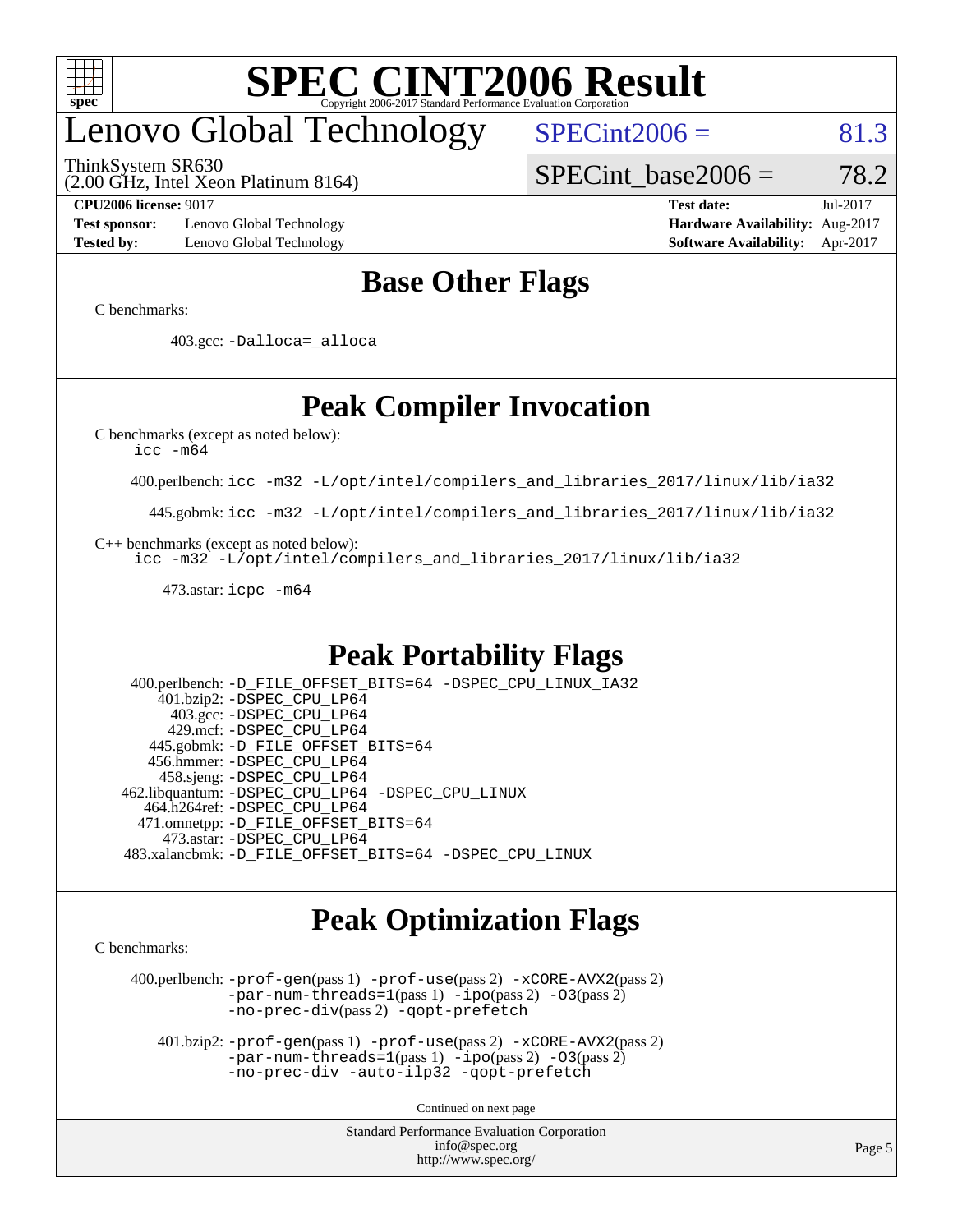

# enovo Global Technology

ThinkSystem SR630

 $SPECint2006 = 81.3$  $SPECint2006 = 81.3$ 

(2.00 GHz, Intel Xeon Platinum 8164)

**[Test sponsor:](http://www.spec.org/auto/cpu2006/Docs/result-fields.html#Testsponsor)** Lenovo Global Technology **[Hardware Availability:](http://www.spec.org/auto/cpu2006/Docs/result-fields.html#HardwareAvailability)** Aug-2017 **[Tested by:](http://www.spec.org/auto/cpu2006/Docs/result-fields.html#Testedby)** Lenovo Global Technology **[Software Availability:](http://www.spec.org/auto/cpu2006/Docs/result-fields.html#SoftwareAvailability)** Apr-2017

SPECint base2006 =  $78.2$ **[CPU2006 license:](http://www.spec.org/auto/cpu2006/Docs/result-fields.html#CPU2006license)** 9017 **[Test date:](http://www.spec.org/auto/cpu2006/Docs/result-fields.html#Testdate)** Jul-2017

### **[Base Other Flags](http://www.spec.org/auto/cpu2006/Docs/result-fields.html#BaseOtherFlags)**

[C benchmarks](http://www.spec.org/auto/cpu2006/Docs/result-fields.html#Cbenchmarks):

403.gcc: [-Dalloca=\\_alloca](http://www.spec.org/cpu2006/results/res2017q4/cpu2006-20170918-49575.flags.html#b403.gcc_baseEXTRA_CFLAGS_Dalloca_be3056838c12de2578596ca5467af7f3)

## **[Peak Compiler Invocation](http://www.spec.org/auto/cpu2006/Docs/result-fields.html#PeakCompilerInvocation)**

[C benchmarks \(except as noted below\)](http://www.spec.org/auto/cpu2006/Docs/result-fields.html#Cbenchmarksexceptasnotedbelow):

[icc -m64](http://www.spec.org/cpu2006/results/res2017q4/cpu2006-20170918-49575.flags.html#user_CCpeak_intel_icc_64bit_bda6cc9af1fdbb0edc3795bac97ada53)

400.perlbench: [icc -m32 -L/opt/intel/compilers\\_and\\_libraries\\_2017/linux/lib/ia32](http://www.spec.org/cpu2006/results/res2017q4/cpu2006-20170918-49575.flags.html#user_peakCCLD400_perlbench_intel_icc_c29f3ff5a7ed067b11e4ec10a03f03ae)

445.gobmk: [icc -m32 -L/opt/intel/compilers\\_and\\_libraries\\_2017/linux/lib/ia32](http://www.spec.org/cpu2006/results/res2017q4/cpu2006-20170918-49575.flags.html#user_peakCCLD445_gobmk_intel_icc_c29f3ff5a7ed067b11e4ec10a03f03ae)

[C++ benchmarks \(except as noted below\):](http://www.spec.org/auto/cpu2006/Docs/result-fields.html#CXXbenchmarksexceptasnotedbelow)

[icc -m32 -L/opt/intel/compilers\\_and\\_libraries\\_2017/linux/lib/ia32](http://www.spec.org/cpu2006/results/res2017q4/cpu2006-20170918-49575.flags.html#user_CXXpeak_intel_icc_c29f3ff5a7ed067b11e4ec10a03f03ae)

473.astar: [icpc -m64](http://www.spec.org/cpu2006/results/res2017q4/cpu2006-20170918-49575.flags.html#user_peakCXXLD473_astar_intel_icpc_64bit_fc66a5337ce925472a5c54ad6a0de310)

### **[Peak Portability Flags](http://www.spec.org/auto/cpu2006/Docs/result-fields.html#PeakPortabilityFlags)**

 400.perlbench: [-D\\_FILE\\_OFFSET\\_BITS=64](http://www.spec.org/cpu2006/results/res2017q4/cpu2006-20170918-49575.flags.html#user_peakPORTABILITY400_perlbench_file_offset_bits_64_438cf9856305ebd76870a2c6dc2689ab) [-DSPEC\\_CPU\\_LINUX\\_IA32](http://www.spec.org/cpu2006/results/res2017q4/cpu2006-20170918-49575.flags.html#b400.perlbench_peakCPORTABILITY_DSPEC_CPU_LINUX_IA32) 401.bzip2: [-DSPEC\\_CPU\\_LP64](http://www.spec.org/cpu2006/results/res2017q4/cpu2006-20170918-49575.flags.html#suite_peakPORTABILITY401_bzip2_DSPEC_CPU_LP64) 403.gcc: [-DSPEC\\_CPU\\_LP64](http://www.spec.org/cpu2006/results/res2017q4/cpu2006-20170918-49575.flags.html#suite_peakPORTABILITY403_gcc_DSPEC_CPU_LP64) 429.mcf: [-DSPEC\\_CPU\\_LP64](http://www.spec.org/cpu2006/results/res2017q4/cpu2006-20170918-49575.flags.html#suite_peakPORTABILITY429_mcf_DSPEC_CPU_LP64) 445.gobmk: [-D\\_FILE\\_OFFSET\\_BITS=64](http://www.spec.org/cpu2006/results/res2017q4/cpu2006-20170918-49575.flags.html#user_peakPORTABILITY445_gobmk_file_offset_bits_64_438cf9856305ebd76870a2c6dc2689ab) 456.hmmer: [-DSPEC\\_CPU\\_LP64](http://www.spec.org/cpu2006/results/res2017q4/cpu2006-20170918-49575.flags.html#suite_peakPORTABILITY456_hmmer_DSPEC_CPU_LP64) 458.sjeng: [-DSPEC\\_CPU\\_LP64](http://www.spec.org/cpu2006/results/res2017q4/cpu2006-20170918-49575.flags.html#suite_peakPORTABILITY458_sjeng_DSPEC_CPU_LP64) 462.libquantum: [-DSPEC\\_CPU\\_LP64](http://www.spec.org/cpu2006/results/res2017q4/cpu2006-20170918-49575.flags.html#suite_peakPORTABILITY462_libquantum_DSPEC_CPU_LP64) [-DSPEC\\_CPU\\_LINUX](http://www.spec.org/cpu2006/results/res2017q4/cpu2006-20170918-49575.flags.html#b462.libquantum_peakCPORTABILITY_DSPEC_CPU_LINUX) 464.h264ref: [-DSPEC\\_CPU\\_LP64](http://www.spec.org/cpu2006/results/res2017q4/cpu2006-20170918-49575.flags.html#suite_peakPORTABILITY464_h264ref_DSPEC_CPU_LP64) 471.omnetpp: [-D\\_FILE\\_OFFSET\\_BITS=64](http://www.spec.org/cpu2006/results/res2017q4/cpu2006-20170918-49575.flags.html#user_peakPORTABILITY471_omnetpp_file_offset_bits_64_438cf9856305ebd76870a2c6dc2689ab) 473.astar: [-DSPEC\\_CPU\\_LP64](http://www.spec.org/cpu2006/results/res2017q4/cpu2006-20170918-49575.flags.html#suite_peakPORTABILITY473_astar_DSPEC_CPU_LP64) 483.xalancbmk: [-D\\_FILE\\_OFFSET\\_BITS=64](http://www.spec.org/cpu2006/results/res2017q4/cpu2006-20170918-49575.flags.html#user_peakPORTABILITY483_xalancbmk_file_offset_bits_64_438cf9856305ebd76870a2c6dc2689ab) [-DSPEC\\_CPU\\_LINUX](http://www.spec.org/cpu2006/results/res2017q4/cpu2006-20170918-49575.flags.html#b483.xalancbmk_peakCXXPORTABILITY_DSPEC_CPU_LINUX)

### **[Peak Optimization Flags](http://www.spec.org/auto/cpu2006/Docs/result-fields.html#PeakOptimizationFlags)**

[C benchmarks](http://www.spec.org/auto/cpu2006/Docs/result-fields.html#Cbenchmarks):

 400.perlbench: [-prof-gen](http://www.spec.org/cpu2006/results/res2017q4/cpu2006-20170918-49575.flags.html#user_peakPASS1_CFLAGSPASS1_LDCFLAGS400_perlbench_prof_gen_e43856698f6ca7b7e442dfd80e94a8fc)(pass 1) [-prof-use](http://www.spec.org/cpu2006/results/res2017q4/cpu2006-20170918-49575.flags.html#user_peakPASS2_CFLAGSPASS2_LDCFLAGS400_perlbench_prof_use_bccf7792157ff70d64e32fe3e1250b55)(pass 2) [-xCORE-AVX2](http://www.spec.org/cpu2006/results/res2017q4/cpu2006-20170918-49575.flags.html#user_peakPASS2_CFLAGSPASS2_LDCFLAGS400_perlbench_f-xCORE-AVX2)(pass 2) [-par-num-threads=1](http://www.spec.org/cpu2006/results/res2017q4/cpu2006-20170918-49575.flags.html#user_peakPASS1_CFLAGSPASS1_LDCFLAGS400_perlbench_par_num_threads_786a6ff141b4e9e90432e998842df6c2)(pass 1) [-ipo](http://www.spec.org/cpu2006/results/res2017q4/cpu2006-20170918-49575.flags.html#user_peakPASS2_CFLAGSPASS2_LDCFLAGS400_perlbench_f-ipo)(pass 2) [-O3](http://www.spec.org/cpu2006/results/res2017q4/cpu2006-20170918-49575.flags.html#user_peakPASS2_CFLAGSPASS2_LDCFLAGS400_perlbench_f-O3)(pass 2) [-no-prec-div](http://www.spec.org/cpu2006/results/res2017q4/cpu2006-20170918-49575.flags.html#user_peakPASS2_CFLAGSPASS2_LDCFLAGS400_perlbench_f-no-prec-div)(pass 2) [-qopt-prefetch](http://www.spec.org/cpu2006/results/res2017q4/cpu2006-20170918-49575.flags.html#user_peakCOPTIMIZE400_perlbench_f-qopt-prefetch)

 401.bzip2: [-prof-gen](http://www.spec.org/cpu2006/results/res2017q4/cpu2006-20170918-49575.flags.html#user_peakPASS1_CFLAGSPASS1_LDCFLAGS401_bzip2_prof_gen_e43856698f6ca7b7e442dfd80e94a8fc)(pass 1) [-prof-use](http://www.spec.org/cpu2006/results/res2017q4/cpu2006-20170918-49575.flags.html#user_peakPASS2_CFLAGSPASS2_LDCFLAGS401_bzip2_prof_use_bccf7792157ff70d64e32fe3e1250b55)(pass 2) [-xCORE-AVX2](http://www.spec.org/cpu2006/results/res2017q4/cpu2006-20170918-49575.flags.html#user_peakPASS2_CFLAGSPASS2_LDCFLAGS401_bzip2_f-xCORE-AVX2)(pass 2)  $-par-num-threads=1(pass 1) -ipo(pass 2) -O3(pass 2)$  $-par-num-threads=1(pass 1) -ipo(pass 2) -O3(pass 2)$  $-par-num-threads=1(pass 1) -ipo(pass 2) -O3(pass 2)$  $-par-num-threads=1(pass 1) -ipo(pass 2) -O3(pass 2)$  $-par-num-threads=1(pass 1) -ipo(pass 2) -O3(pass 2)$  $-par-num-threads=1(pass 1) -ipo(pass 2) -O3(pass 2)$ [-no-prec-div](http://www.spec.org/cpu2006/results/res2017q4/cpu2006-20170918-49575.flags.html#user_peakCOPTIMIZEPASS2_CFLAGSPASS2_LDCFLAGS401_bzip2_f-no-prec-div) [-auto-ilp32](http://www.spec.org/cpu2006/results/res2017q4/cpu2006-20170918-49575.flags.html#user_peakCOPTIMIZE401_bzip2_f-auto-ilp32) [-qopt-prefetch](http://www.spec.org/cpu2006/results/res2017q4/cpu2006-20170918-49575.flags.html#user_peakCOPTIMIZE401_bzip2_f-qopt-prefetch)

Continued on next page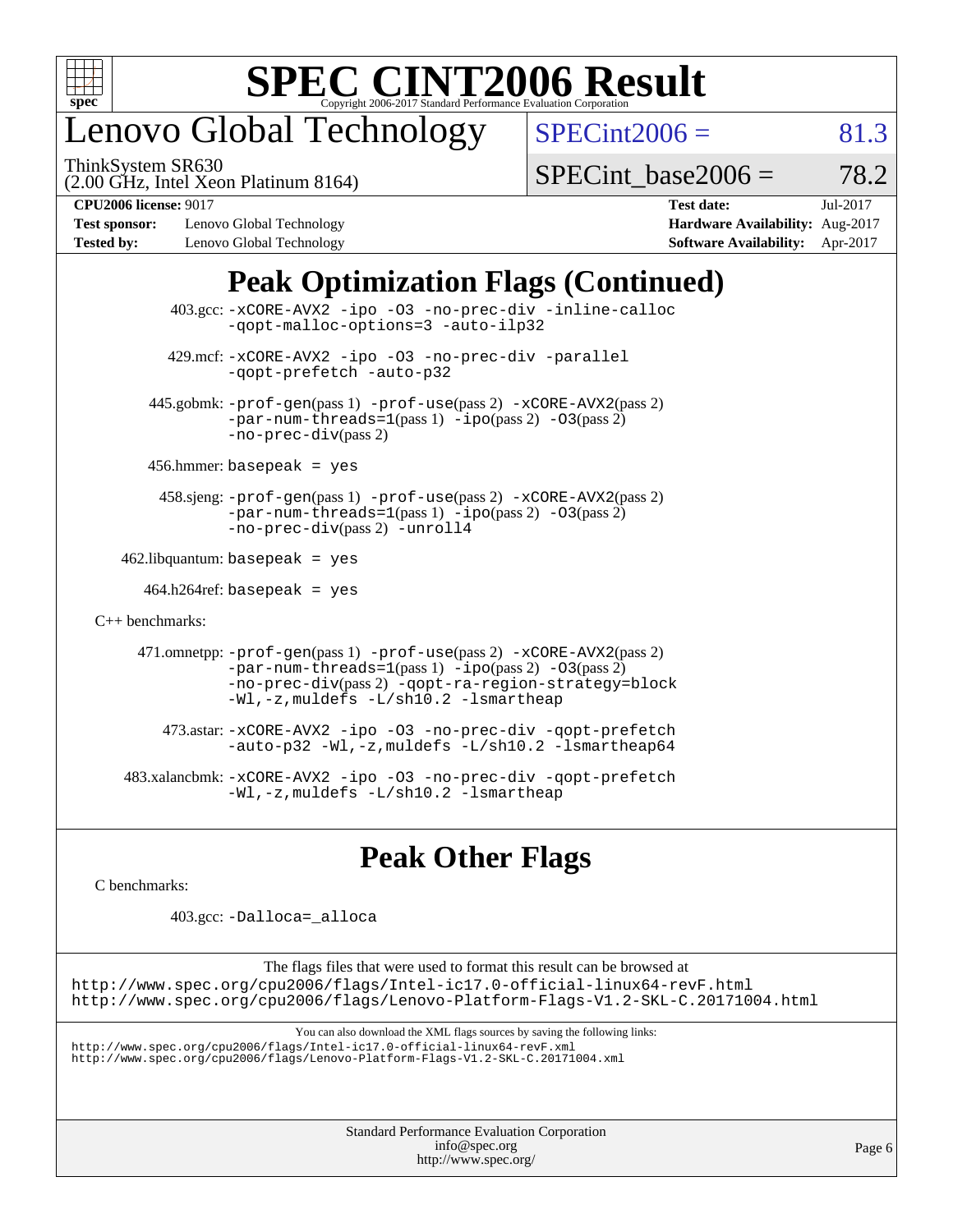

## enovo Global Technology

ThinkSystem SR630

 $SPECint2006 = 81.3$  $SPECint2006 = 81.3$ 

(2.00 GHz, Intel Xeon Platinum 8164)

SPECint base2006 =  $78.2$ 

**[Test sponsor:](http://www.spec.org/auto/cpu2006/Docs/result-fields.html#Testsponsor)** Lenovo Global Technology **[Hardware Availability:](http://www.spec.org/auto/cpu2006/Docs/result-fields.html#HardwareAvailability)** Aug-2017 **[Tested by:](http://www.spec.org/auto/cpu2006/Docs/result-fields.html#Testedby)** Lenovo Global Technology **[Software Availability:](http://www.spec.org/auto/cpu2006/Docs/result-fields.html#SoftwareAvailability)** Apr-2017

**[CPU2006 license:](http://www.spec.org/auto/cpu2006/Docs/result-fields.html#CPU2006license)** 9017 **[Test date:](http://www.spec.org/auto/cpu2006/Docs/result-fields.html#Testdate)** Jul-2017

## **[Peak Optimization Flags \(Continued\)](http://www.spec.org/auto/cpu2006/Docs/result-fields.html#PeakOptimizationFlags)**

| $403.\text{sec}: -x \text{CORE-AVX2}$ -ipo -03 -no-prec-div -inline-calloc<br>-gopt-malloc-options=3 -auto-ilp32                                                                                                              |  |
|-------------------------------------------------------------------------------------------------------------------------------------------------------------------------------------------------------------------------------|--|
| 429.mcf: -xCORE-AVX2 -ipo -03 -no-prec-div -parallel<br>-gopt-prefetch -auto-p32                                                                                                                                              |  |
| 445.gobmk: -prof-gen(pass 1) -prof-use(pass 2) -xCORE-AVX2(pass 2)<br>$-par-num-threads=1(pass 1) -ipo(pass 2) -03(pass 2)$<br>$-no-prec-div(pass 2)$                                                                         |  |
| $456.$ hmmer: basepeak = yes                                                                                                                                                                                                  |  |
| 458.sjeng: -prof-gen(pass 1) -prof-use(pass 2) -xCORE-AVX2(pass 2)<br>$-par-num-threads=1(pass 1) -ipo(pass 2) -03(pass 2)$<br>-no-prec-div(pass 2) -unroll4                                                                  |  |
| $462$ .libquantum: basepeak = yes                                                                                                                                                                                             |  |
| $464.h264$ ref: basepeak = yes                                                                                                                                                                                                |  |
| $C_{++}$ benchmarks:                                                                                                                                                                                                          |  |
| 471.omnetpp: -prof-gen(pass 1) -prof-use(pass 2) -xCORE-AVX2(pass 2)<br>$-par-num-threads=1(pass 1) -ipo(pass 2) -03(pass 2)$<br>-no-prec-div(pass 2) -qopt-ra-region-strategy=block<br>-Wl,-z, muldefs -L/sh10.2 -lsmartheap |  |
| 473.astar: -xCORE-AVX2 -ipo -03 -no-prec-div -qopt-prefetch<br>-auto-p32 -Wl,-z, muldefs -L/sh10.2 -lsmartheap64                                                                                                              |  |
| 483.xalancbmk:-xCORE-AVX2 -ipo -03 -no-prec-div -qopt-prefetch<br>-Wl,-z, muldefs -L/sh10.2 -lsmartheap                                                                                                                       |  |

## **[Peak Other Flags](http://www.spec.org/auto/cpu2006/Docs/result-fields.html#PeakOtherFlags)**

[C benchmarks](http://www.spec.org/auto/cpu2006/Docs/result-fields.html#Cbenchmarks):

403.gcc: [-Dalloca=\\_alloca](http://www.spec.org/cpu2006/results/res2017q4/cpu2006-20170918-49575.flags.html#b403.gcc_peakEXTRA_CFLAGS_Dalloca_be3056838c12de2578596ca5467af7f3)

The flags files that were used to format this result can be browsed at <http://www.spec.org/cpu2006/flags/Intel-ic17.0-official-linux64-revF.html> <http://www.spec.org/cpu2006/flags/Lenovo-Platform-Flags-V1.2-SKL-C.20171004.html>

You can also download the XML flags sources by saving the following links:

<http://www.spec.org/cpu2006/flags/Intel-ic17.0-official-linux64-revF.xml> <http://www.spec.org/cpu2006/flags/Lenovo-Platform-Flags-V1.2-SKL-C.20171004.xml>